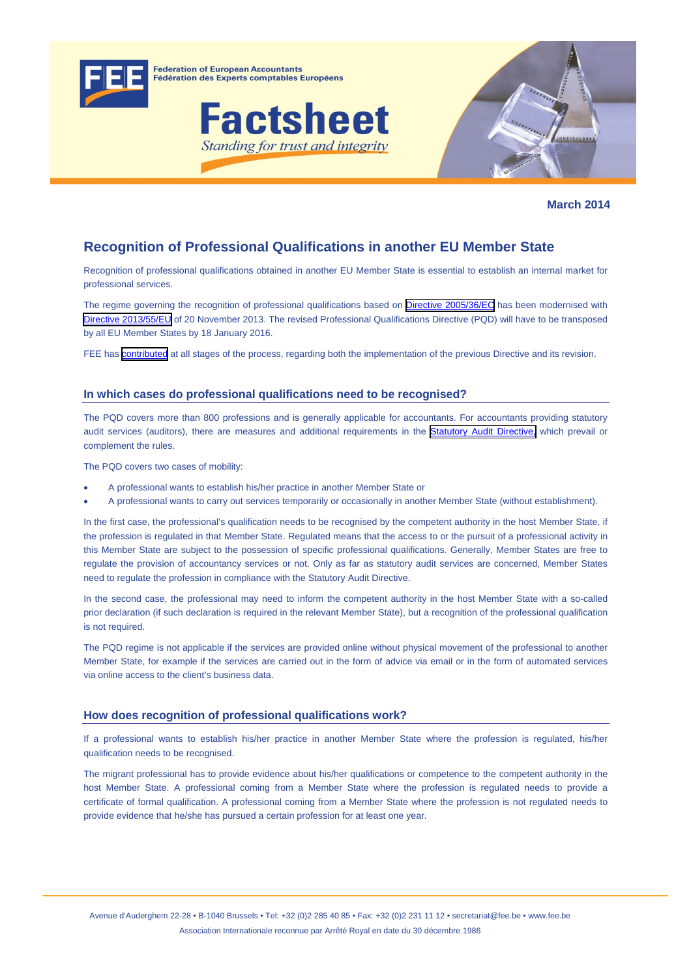

**Federation of European Accountants** Fédération des Experts comptables Européens





**March 2014** 

# **Recognition of Professional Qualifications in another EU Member State**

Recognition of professional qualifications obtained in another EU Member State is essential to establish an internal market for professional services.

The regime governing the recognition of professional qualifications based on [Directive 2005/36/EC](http://eur-lex.europa.eu/LexUriServ/LexUriServ.do?uri=CONSLEG:2005L0036:20110324:EN:PDF) has been modernised with [Directive 2013/55/EU](http://eur-lex.europa.eu/LexUriServ/LexUriServ.do?uri=OJ:L:2013:354:0132:0170:en:PDF) of 20 November 2013. The revised Professional Qualifications Directive (PQD) will have to be transposed by all EU Member States by 18 January 2016.

FEE has **[contributed](http://www.fee.be/index.php?option=com_content&view=article&id=1094:recognition-of-professional-qualifications&catid=43:qualification-and-market-access&Itemid=178)** at all stages of the process, regarding both the implementation of the previous Directive and its revision.

# **In which cases do professional qualifications need to be recognised?**

The PQD covers more than 800 professions and is generally applicable for accountants. For accountants providing statutory audit services (auditors), there are measures and additional requirements in the **Statutory Audit Directive**, which prevail or complement the rules.

The PQD covers two cases of mobility:

- A professional wants to establish his/her practice in another Member State or
- A professional wants to carry out services temporarily or occasionally in another Member State (without establishment).

In the first case, the professional's qualification needs to be recognised by the competent authority in the host Member State, if the profession is regulated in that Member State. Regulated means that the access to or the pursuit of a professional activity in this Member State are subject to the possession of specific professional qualifications. Generally, Member States are free to regulate the provision of accountancy services or not. Only as far as statutory audit services are concerned, Member States need to regulate the profession in compliance with the Statutory Audit Directive.

In the second case, the professional may need to inform the competent authority in the host Member State with a so-called prior declaration (if such declaration is required in the relevant Member State), but a recognition of the professional qualification is not required.

The PQD regime is not applicable if the services are provided online without physical movement of the professional to another Member State, for example if the services are carried out in the form of advice via email or in the form of automated services via online access to the client's business data.

# **How does recognition of professional qualifications work?**

If a professional wants to establish his/her practice in another Member State where the profession is regulated, his/her qualification needs to be recognised.

The migrant professional has to provide evidence about his/her qualifications or competence to the competent authority in the host Member State. A professional coming from a Member State where the profession is regulated needs to provide a certificate of formal qualification. A professional coming from a Member State where the profession is not regulated needs to provide evidence that he/she has pursued a certain profession for at least one year.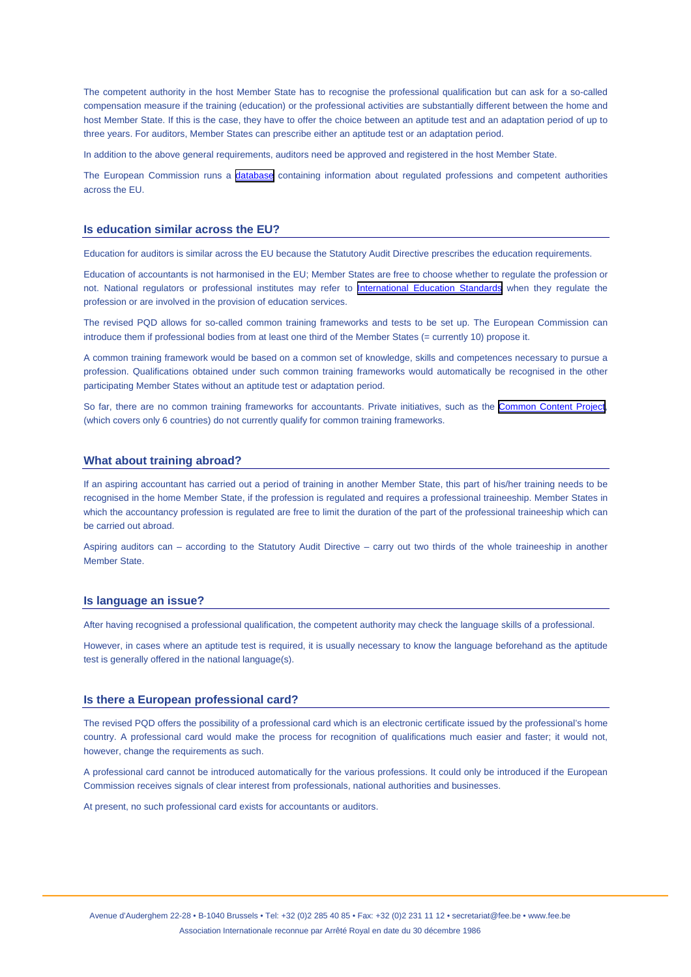The competent authority in the host Member State has to recognise the professional qualification but can ask for a so-called compensation measure if the training (education) or the professional activities are substantially different between the home and host Member State. If this is the case, they have to offer the choice between an aptitude test and an adaptation period of up to three years. For auditors, Member States can prescribe either an aptitude test or an adaptation period.

In addition to the above general requirements, auditors need be approved and registered in the host Member State.

The European Commission runs a [database](http://ec.europa.eu/internal_market/qualifications/regprof/index.cfm?fuseaction=home.home) containing information about regulated professions and competent authorities across the EU.

#### **Is education similar across the EU?**

Education for auditors is similar across the EU because the Statutory Audit Directive prescribes the education requirements.

Education of accountants is not harmonised in the EU; Member States are free to choose whether to regulate the profession or not. National regulators or professional institutes may refer to **[International Education Standards](http://www.ifac.org/publications-resources?publication-type=&source=31&language=87&keyword=Search+Publications&x=47&y=7)** when they regulate the profession or are involved in the provision of education services.

The revised PQD allows for so-called common training frameworks and tests to be set up. The European Commission can introduce them if professional bodies from at least one third of the Member States (= currently 10) propose it.

A common training framework would be based on a common set of knowledge, skills and competences necessary to pursue a profession. Qualifications obtained under such common training frameworks would automatically be recognised in the other participating Member States without an aptitude test or adaptation period.

So far, there are no common training frameworks for accountants. Private initiatives, such as the [Common Content Project](http://www.commoncontent.com/), (which covers only 6 countries) do not currently qualify for common training frameworks.

#### **What about training abroad?**

If an aspiring accountant has carried out a period of training in another Member State, this part of his/her training needs to be recognised in the home Member State, if the profession is regulated and requires a professional traineeship. Member States in which the accountancy profession is regulated are free to limit the duration of the part of the professional traineeship which can be carried out abroad.

Aspiring auditors can – according to the Statutory Audit Directive – carry out two thirds of the whole traineeship in another Member State.

### **Is language an issue?**

After having recognised a professional qualification, the competent authority may check the language skills of a professional.

However, in cases where an aptitude test is required, it is usually necessary to know the language beforehand as the aptitude test is generally offered in the national language(s).

#### **Is there a European professional card?**

The revised PQD offers the possibility of a professional card which is an electronic certificate issued by the professional's home country. A professional card would make the process for recognition of qualifications much easier and faster; it would not, however, change the requirements as such.

A professional card cannot be introduced automatically for the various professions. It could only be introduced if the European Commission receives signals of clear interest from professionals, national authorities and businesses.

At present, no such professional card exists for accountants or auditors.